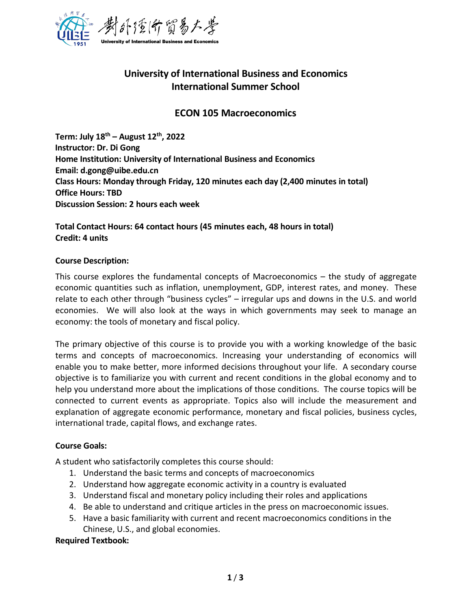

# **University of International Business and Economics International Summer School**

## **ECON 105 Macroeconomics**

**Term: July 18 th – August 12 th , 2022 Instructor: Dr. Di Gong Home Institution: University of International Business and Economics Email: d.gong@uibe.edu.cn Class Hours: Monday through Friday, 120 minutes each day (2,400 minutes in total) Office Hours: TBD Discussion Session: 2 hours each week**

**Total Contact Hours: 64 contact hours (45 minutes each, 48 hours in total) Credit: 4 units**

### **Course Description:**

This course explores the fundamental concepts of Macroeconomics – the study of aggregate economic quantities such as inflation, unemployment, GDP, interest rates, and money. These relate to each other through "business cycles" – irregular ups and downs in the U.S. and world economies. We will also look at the ways in which governments may seek to manage an economy: the tools of monetary and fiscal policy.

The primary objective of this course is to provide you with a working knowledge of the basic terms and concepts of macroeconomics. Increasing your understanding of economics will enable you to make better, more informed decisions throughout your life. A secondary course objective is to familiarize you with current and recent conditions in the global economy and to help you understand more about the implications of those conditions. The course topics will be connected to current events as appropriate. Topics also will include the measurement and explanation of aggregate economic performance, monetary and fiscal policies, business cycles, international trade, capital flows, and exchange rates.

## **Course Goals:**

A student who satisfactorily completes this course should:

- 1. Understand the basic terms and concepts of macroeconomics
- 2. Understand how aggregate economic activity in a country is evaluated
- 3. Understand fiscal and monetary policy including their roles and applications
- 4. Be able to understand and critique articles in the press on macroeconomic issues.
- 5. Have a basic familiarity with current and recent macroeconomics conditions in the Chinese, U.S., and global economies.

## **Required Textbook:**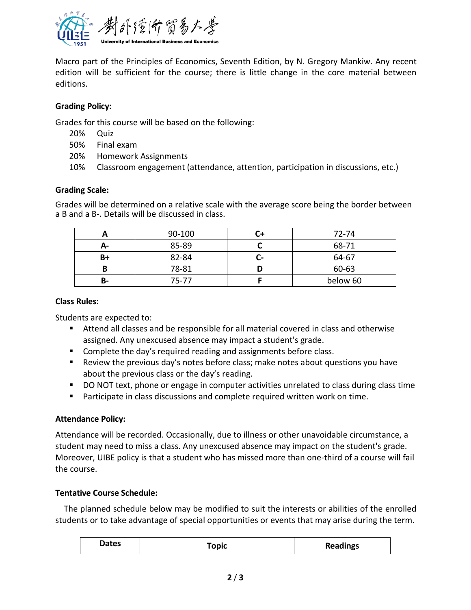

Macro part of the Principles of Economics, Seventh Edition, by N. Gregory Mankiw. Any recent edition will be sufficient for the course; there is little change in the core material between editions.

## **Grading Policy:**

Grades for this course will be based on the following:

- 20% Quiz
- 50% Final exam
- 20% Homework Assignments
- 10% Classroom engagement (attendance, attention, participation in discussions, etc.)

## **Grading Scale:**

Grades will be determined on a relative scale with the average score being the border between a B and a B-. Details will be discussed in class.

|    | 90-100 |    | 72-74    |
|----|--------|----|----------|
| А- | 85-89  |    | 68-71    |
| B+ | 82-84  | L- | 64-67    |
|    | 78-81  | ш  | 60-63    |
| В- | 75-77  |    | below 60 |

#### **Class Rules:**

Students are expected to:

- Attend all classes and be responsible for all material covered in class and otherwise assigned. Any unexcused absence may impact a student's grade.
- **Complete the day's required reading and assignments before class.**
- Review the previous day's notes before class; make notes about questions you have about the previous class or the day's reading.
- DO NOT text, phone or engage in computer activities unrelated to class during class time
- **Participate in class discussions and complete required written work on time.**

## **Attendance Policy:**

Attendance will be recorded. Occasionally, due to illness or other unavoidable circumstance, a student may need to miss a class. Any unexcused absence may impact on the student's grade. Moreover, UIBE policy is that a student who has missed more than one-third of a course will fail the course.

## **Tentative Course Schedule:**

The planned schedule below may be modified to suit the interests or abilities of the enrolled students or to take advantage of special opportunities or events that may arise during the term.

| Dates | <b>Topic</b> | <b>Readings</b> |
|-------|--------------|-----------------|
|-------|--------------|-----------------|